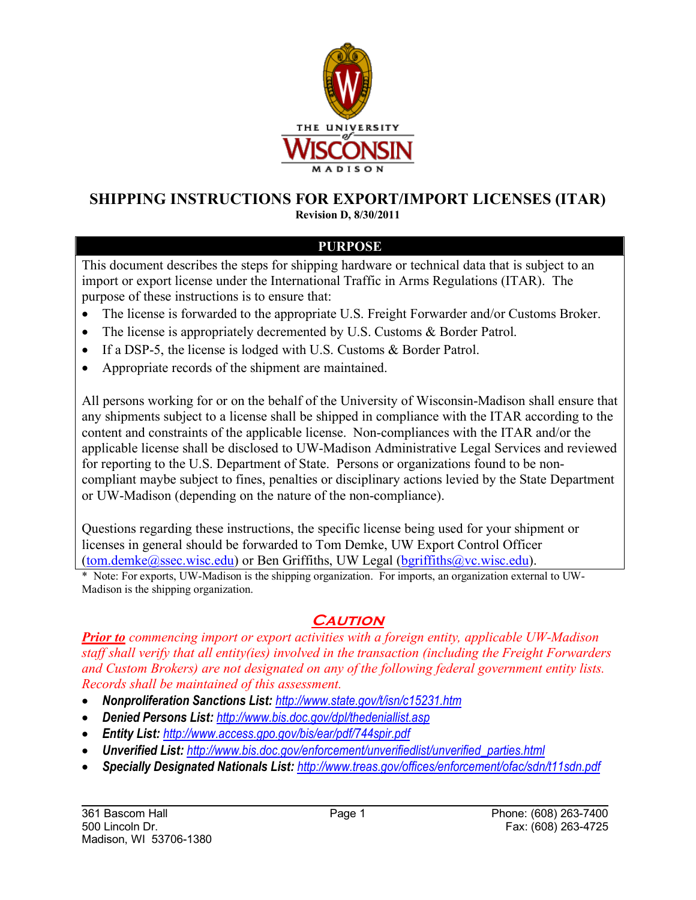

## **SHIPPING INSTRUCTIONS FOR EXPORT/IMPORT LICENSES (ITAR)**

**Revision D, 8/30/2011**

## **PURPOSE**

This document describes the steps for shipping hardware or technical data that is subject to an import or export license under the International Traffic in Arms Regulations (ITAR). The purpose of these instructions is to ensure that:

- The license is forwarded to the appropriate U.S. Freight Forwarder and/or Customs Broker.
- The license is appropriately decremented by U.S. Customs & Border Patrol.
- If a DSP-5, the license is lodged with U.S. Customs & Border Patrol.
- Appropriate records of the shipment are maintained.

All persons working for or on the behalf of the University of Wisconsin-Madison shall ensure that any shipments subject to a license shall be shipped in compliance with the ITAR according to the content and constraints of the applicable license. Non-compliances with the ITAR and/or the applicable license shall be disclosed to UW-Madison Administrative Legal Services and reviewed for reporting to the U.S. Department of State. Persons or organizations found to be noncompliant maybe subject to fines, penalties or disciplinary actions levied by the State Department or UW-Madison (depending on the nature of the non-compliance).

Questions regarding these instructions, the specific license being used for your shipment or licenses in general should be forwarded to Tom Demke, UW Export Control Officer  $(tom.demke@ssec.wisc.edu)$  or Ben Griffiths, UW Legal  $(bgriffiths@vc.wisc.edu)$ .

\* Note: For exports, UW-Madison is the shipping organization. For imports, an organization external to UW-Madison is the shipping organization.

## **CAUTION**

*Prior to commencing import or export activities with a foreign entity, applicable UW-Madison staff shall verify that all entity(ies) involved in the transaction (including the Freight Forwarders and Custom Brokers) are not designated on any of the following federal government entity lists. Records shall be maintained of this assessment.*

- *Nonproliferation Sanctions List: http://www.state.gov/t/isn/c15231.htm*
- *Denied Persons List: http://www.bis.doc.gov/dpl/thedeniallist.asp*
- *Entity List: http://www.access.gpo.gov/bis/ear/pdf/744spir.pdf*
- *Unverified List: http://www.bis.doc.gov/enforcement/unverifiedlist/unverified\_parties.html*
- *Specially Designated Nationals List: http://www.treas.gov/offices/enforcement/ofac/sdn/t11sdn.pdf*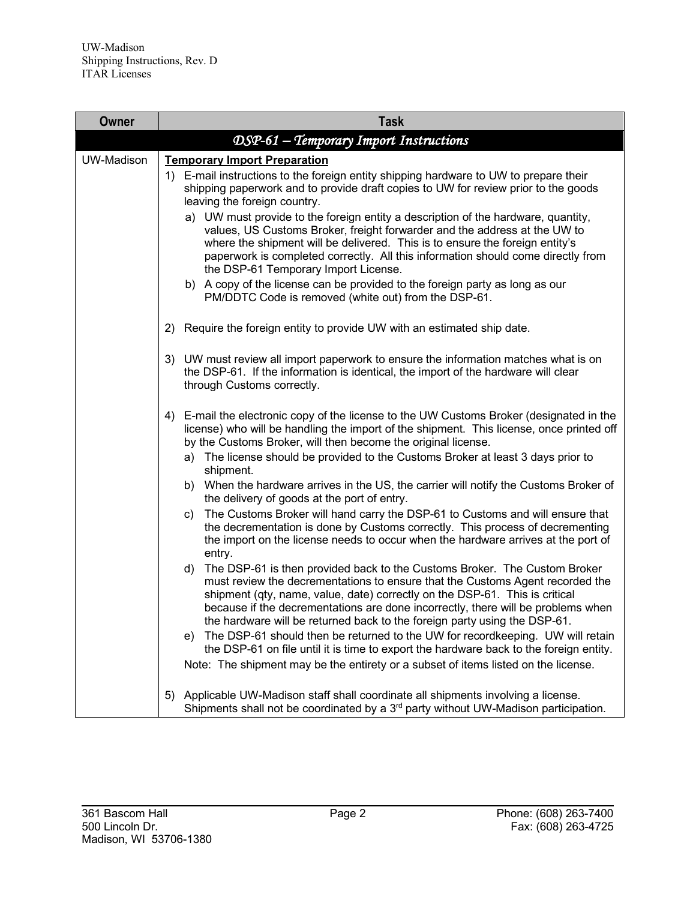| Owner             | <b>Task</b>                                                                                                                                                                                                                                                                                                                                                                                                      |
|-------------------|------------------------------------------------------------------------------------------------------------------------------------------------------------------------------------------------------------------------------------------------------------------------------------------------------------------------------------------------------------------------------------------------------------------|
|                   | DSP-61 - Temporary Import Instructions                                                                                                                                                                                                                                                                                                                                                                           |
| <b>UW-Madison</b> | <b>Temporary Import Preparation</b><br>1) E-mail instructions to the foreign entity shipping hardware to UW to prepare their                                                                                                                                                                                                                                                                                     |
|                   | shipping paperwork and to provide draft copies to UW for review prior to the goods<br>leaving the foreign country.                                                                                                                                                                                                                                                                                               |
|                   | a) UW must provide to the foreign entity a description of the hardware, quantity,<br>values, US Customs Broker, freight forwarder and the address at the UW to<br>where the shipment will be delivered. This is to ensure the foreign entity's<br>paperwork is completed correctly. All this information should come directly from<br>the DSP-61 Temporary Import License.                                       |
|                   | b) A copy of the license can be provided to the foreign party as long as our<br>PM/DDTC Code is removed (white out) from the DSP-61.                                                                                                                                                                                                                                                                             |
|                   | Require the foreign entity to provide UW with an estimated ship date.<br>2)                                                                                                                                                                                                                                                                                                                                      |
|                   | 3) UW must review all import paperwork to ensure the information matches what is on<br>the DSP-61. If the information is identical, the import of the hardware will clear<br>through Customs correctly.                                                                                                                                                                                                          |
|                   | E-mail the electronic copy of the license to the UW Customs Broker (designated in the<br>4)<br>license) who will be handling the import of the shipment. This license, once printed off<br>by the Customs Broker, will then become the original license.                                                                                                                                                         |
|                   | a) The license should be provided to the Customs Broker at least 3 days prior to<br>shipment.                                                                                                                                                                                                                                                                                                                    |
|                   | b) When the hardware arrives in the US, the carrier will notify the Customs Broker of<br>the delivery of goods at the port of entry.                                                                                                                                                                                                                                                                             |
|                   | The Customs Broker will hand carry the DSP-61 to Customs and will ensure that<br>C)<br>the decrementation is done by Customs correctly. This process of decrementing<br>the import on the license needs to occur when the hardware arrives at the port of<br>entry.                                                                                                                                              |
|                   | The DSP-61 is then provided back to the Customs Broker. The Custom Broker<br>d)<br>must review the decrementations to ensure that the Customs Agent recorded the<br>shipment (qty, name, value, date) correctly on the DSP-61. This is critical<br>because if the decrementations are done incorrectly, there will be problems when<br>the hardware will be returned back to the foreign party using the DSP-61. |
|                   | The DSP-61 should then be returned to the UW for recordkeeping. UW will retain<br>e).<br>the DSP-61 on file until it is time to export the hardware back to the foreign entity.                                                                                                                                                                                                                                  |
|                   | Note: The shipment may be the entirety or a subset of items listed on the license.                                                                                                                                                                                                                                                                                                                               |
|                   | Applicable UW-Madison staff shall coordinate all shipments involving a license.<br>5)<br>Shipments shall not be coordinated by a 3 <sup>rd</sup> party without UW-Madison participation.                                                                                                                                                                                                                         |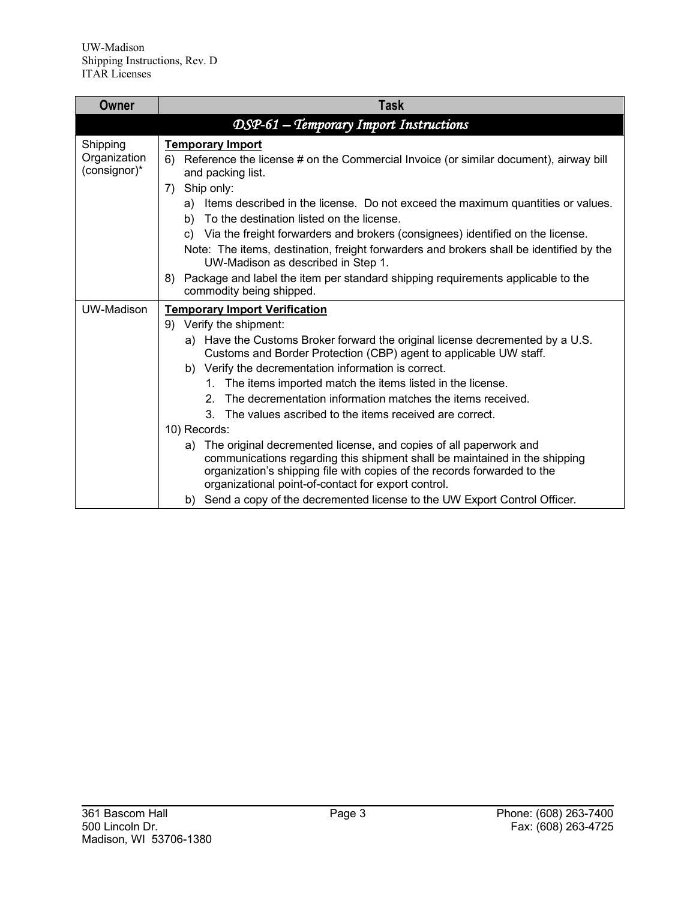| Owner                                    | <b>Task</b>                                                                                                                                                                                                                                                                                                                                                                                                                                                                                                                |
|------------------------------------------|----------------------------------------------------------------------------------------------------------------------------------------------------------------------------------------------------------------------------------------------------------------------------------------------------------------------------------------------------------------------------------------------------------------------------------------------------------------------------------------------------------------------------|
|                                          | DSP-61 - Temporary Import Instructions                                                                                                                                                                                                                                                                                                                                                                                                                                                                                     |
| Shipping<br>Organization<br>(consignor)* | <b>Temporary Import</b><br>Reference the license # on the Commercial Invoice (or similar document), airway bill<br>6)<br>and packing list.<br>Ship only:<br>7)<br>a) Items described in the license. Do not exceed the maximum quantities or values.<br>b) To the destination listed on the license.<br>c) Via the freight forwarders and brokers (consignees) identified on the license.<br>Note: The items, destination, freight forwarders and brokers shall be identified by the<br>UW-Madison as described in Step 1. |
|                                          | Package and label the item per standard shipping requirements applicable to the<br>8)<br>commodity being shipped.                                                                                                                                                                                                                                                                                                                                                                                                          |
| UW-Madison                               | <b>Temporary Import Verification</b>                                                                                                                                                                                                                                                                                                                                                                                                                                                                                       |
|                                          | 9) Verify the shipment:                                                                                                                                                                                                                                                                                                                                                                                                                                                                                                    |
|                                          | a) Have the Customs Broker forward the original license decremented by a U.S.<br>Customs and Border Protection (CBP) agent to applicable UW staff.                                                                                                                                                                                                                                                                                                                                                                         |
|                                          | b) Verify the decrementation information is correct.                                                                                                                                                                                                                                                                                                                                                                                                                                                                       |
|                                          | The items imported match the items listed in the license.<br>1.                                                                                                                                                                                                                                                                                                                                                                                                                                                            |
|                                          | The decrementation information matches the items received.<br>2.                                                                                                                                                                                                                                                                                                                                                                                                                                                           |
|                                          | 3. The values ascribed to the items received are correct.                                                                                                                                                                                                                                                                                                                                                                                                                                                                  |
|                                          | 10) Records:<br>The original decremented license, and copies of all paperwork and<br>a)                                                                                                                                                                                                                                                                                                                                                                                                                                    |
|                                          | communications regarding this shipment shall be maintained in the shipping<br>organization's shipping file with copies of the records forwarded to the<br>organizational point-of-contact for export control.                                                                                                                                                                                                                                                                                                              |
|                                          | b) Send a copy of the decremented license to the UW Export Control Officer.                                                                                                                                                                                                                                                                                                                                                                                                                                                |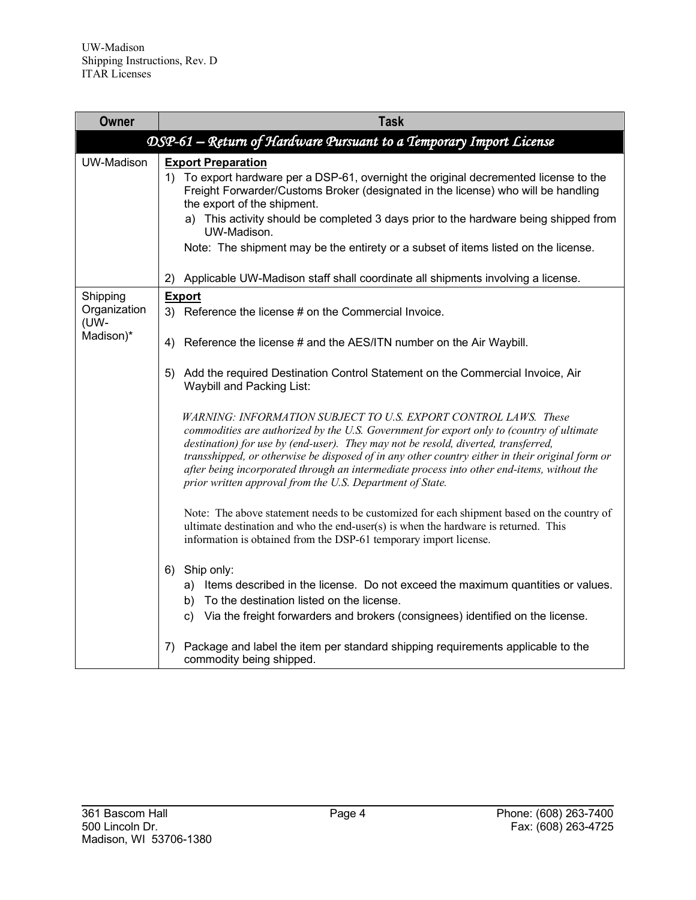| Owner                            | <b>Task</b>                                                                                                                                                                                                                                                                                                                                                                                                                                                                                                      |
|----------------------------------|------------------------------------------------------------------------------------------------------------------------------------------------------------------------------------------------------------------------------------------------------------------------------------------------------------------------------------------------------------------------------------------------------------------------------------------------------------------------------------------------------------------|
|                                  | DSP-61 – Return of Hardware Pursuant to a Temporary Import License                                                                                                                                                                                                                                                                                                                                                                                                                                               |
| <b>UW-Madison</b>                | <b>Export Preparation</b><br>1) To export hardware per a DSP-61, overnight the original decremented license to the<br>Freight Forwarder/Customs Broker (designated in the license) who will be handling<br>the export of the shipment.<br>a) This activity should be completed 3 days prior to the hardware being shipped from<br>UW-Madison.<br>Note: The shipment may be the entirety or a subset of items listed on the license.                                                                              |
|                                  | Applicable UW-Madison staff shall coordinate all shipments involving a license.<br>2)                                                                                                                                                                                                                                                                                                                                                                                                                            |
| Shipping<br>Organization<br>(UW- | <b>Export</b><br>3) Reference the license # on the Commercial Invoice.                                                                                                                                                                                                                                                                                                                                                                                                                                           |
| Madison)*                        | Reference the license # and the AES/ITN number on the Air Waybill.<br>4)                                                                                                                                                                                                                                                                                                                                                                                                                                         |
|                                  | Add the required Destination Control Statement on the Commercial Invoice, Air<br>5)<br>Waybill and Packing List:                                                                                                                                                                                                                                                                                                                                                                                                 |
|                                  | WARNING: INFORMATION SUBJECT TO U.S. EXPORT CONTROL LAWS. These<br>commodities are authorized by the U.S. Government for export only to (country of ultimate<br>destination) for use by (end-user). They may not be resold, diverted, transferred,<br>transshipped, or otherwise be disposed of in any other country either in their original form or<br>after being incorporated through an intermediate process into other end-items, without the<br>prior written approval from the U.S. Department of State. |
|                                  | Note: The above statement needs to be customized for each shipment based on the country of<br>ultimate destination and who the end-user(s) is when the hardware is returned. This<br>information is obtained from the DSP-61 temporary import license.                                                                                                                                                                                                                                                           |
|                                  | 6) Ship only:<br>a) Items described in the license. Do not exceed the maximum quantities or values.<br>b) To the destination listed on the license.<br>c) Via the freight forwarders and brokers (consignees) identified on the license.                                                                                                                                                                                                                                                                         |
|                                  | Package and label the item per standard shipping requirements applicable to the<br>7)<br>commodity being shipped.                                                                                                                                                                                                                                                                                                                                                                                                |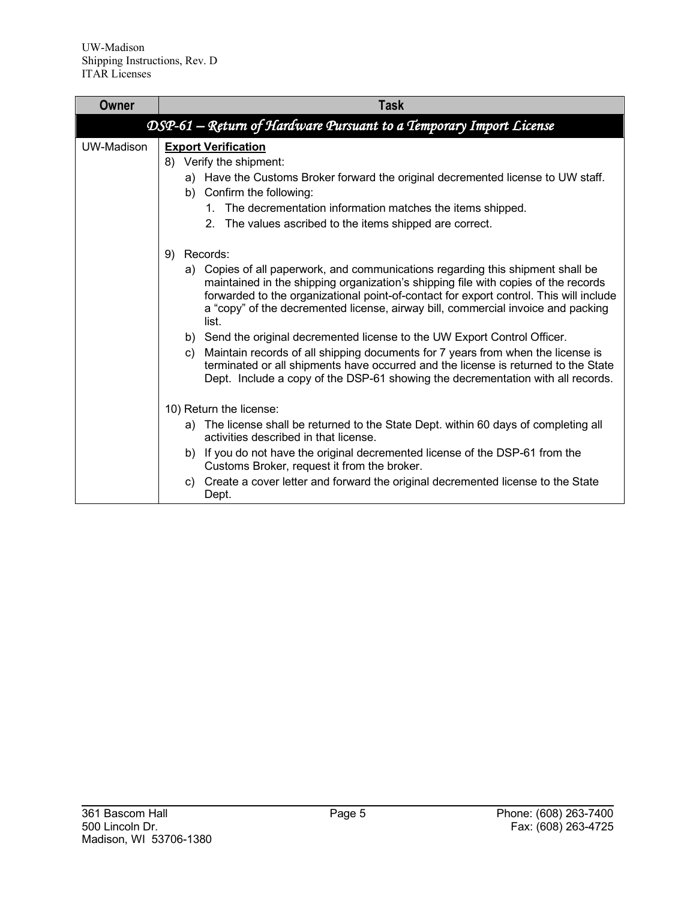| Owner      | Task                                                                                                                                                                                                                                                                                                                                                         |
|------------|--------------------------------------------------------------------------------------------------------------------------------------------------------------------------------------------------------------------------------------------------------------------------------------------------------------------------------------------------------------|
|            | DSP-61 – Return of Hardware Pursuant to a Temporary Import License                                                                                                                                                                                                                                                                                           |
| UW-Madison | <b>Export Verification</b><br>8) Verify the shipment:<br>a) Have the Customs Broker forward the original decremented license to UW staff.<br>b) Confirm the following:                                                                                                                                                                                       |
|            | The decrementation information matches the items shipped.<br>$1_{-}$<br>2. The values ascribed to the items shipped are correct.                                                                                                                                                                                                                             |
|            | Records:<br>9)                                                                                                                                                                                                                                                                                                                                               |
|            | a) Copies of all paperwork, and communications regarding this shipment shall be<br>maintained in the shipping organization's shipping file with copies of the records<br>forwarded to the organizational point-of-contact for export control. This will include<br>a "copy" of the decremented license, airway bill, commercial invoice and packing<br>list. |
|            | b) Send the original decremented license to the UW Export Control Officer.<br>Maintain records of all shipping documents for 7 years from when the license is<br>C)<br>terminated or all shipments have occurred and the license is returned to the State<br>Dept. Include a copy of the DSP-61 showing the decrementation with all records.                 |
|            | 10) Return the license:                                                                                                                                                                                                                                                                                                                                      |
|            | a) The license shall be returned to the State Dept. within 60 days of completing all<br>activities described in that license.                                                                                                                                                                                                                                |
|            | b) If you do not have the original decremented license of the DSP-61 from the<br>Customs Broker, request it from the broker.                                                                                                                                                                                                                                 |
|            | Create a cover letter and forward the original decremented license to the State<br>C)<br>Dept.                                                                                                                                                                                                                                                               |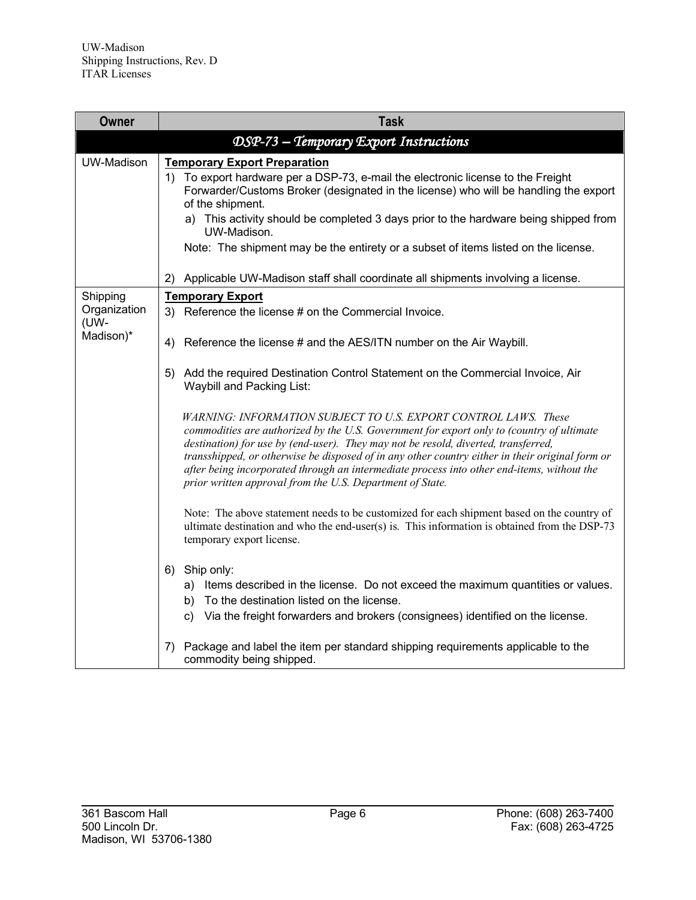| Owner                            | <b>Task</b>                                                                                                                                                                                                                                                                                                                                                                                                                                                                                                      |
|----------------------------------|------------------------------------------------------------------------------------------------------------------------------------------------------------------------------------------------------------------------------------------------------------------------------------------------------------------------------------------------------------------------------------------------------------------------------------------------------------------------------------------------------------------|
|                                  | DSP-73 - Temporary Export Instructions                                                                                                                                                                                                                                                                                                                                                                                                                                                                           |
| <b>UW-Madison</b>                | <b>Temporary Export Preparation</b><br>1) To export hardware per a DSP-73, e-mail the electronic license to the Freight<br>Forwarder/Customs Broker (designated in the license) who will be handling the export<br>of the shipment.<br>a) This activity should be completed 3 days prior to the hardware being shipped from<br>UW-Madison.<br>Note: The shipment may be the entirety or a subset of items listed on the license.                                                                                 |
|                                  | Applicable UW-Madison staff shall coordinate all shipments involving a license.<br>2)                                                                                                                                                                                                                                                                                                                                                                                                                            |
| Shipping<br>Organization<br>(UW- | <b>Temporary Export</b><br>3) Reference the license # on the Commercial Invoice.                                                                                                                                                                                                                                                                                                                                                                                                                                 |
| Madison)*                        | Reference the license # and the AES/ITN number on the Air Waybill.<br>4)                                                                                                                                                                                                                                                                                                                                                                                                                                         |
|                                  | 5)<br>Add the required Destination Control Statement on the Commercial Invoice, Air<br>Waybill and Packing List:                                                                                                                                                                                                                                                                                                                                                                                                 |
|                                  | WARNING: INFORMATION SUBJECT TO U.S. EXPORT CONTROL LAWS. These<br>commodities are authorized by the U.S. Government for export only to (country of ultimate<br>destination) for use by (end-user). They may not be resold, diverted, transferred,<br>transshipped, or otherwise be disposed of in any other country either in their original form or<br>after being incorporated through an intermediate process into other end-items, without the<br>prior written approval from the U.S. Department of State. |
|                                  | Note: The above statement needs to be customized for each shipment based on the country of<br>ultimate destination and who the end-user(s) is. This information is obtained from the DSP-73<br>temporary export license.                                                                                                                                                                                                                                                                                         |
|                                  | 6) Ship only:<br>a) Items described in the license. Do not exceed the maximum quantities or values.<br>b) To the destination listed on the license.<br>c) Via the freight forwarders and brokers (consignees) identified on the license.                                                                                                                                                                                                                                                                         |
|                                  | Package and label the item per standard shipping requirements applicable to the<br>7)<br>commodity being shipped.                                                                                                                                                                                                                                                                                                                                                                                                |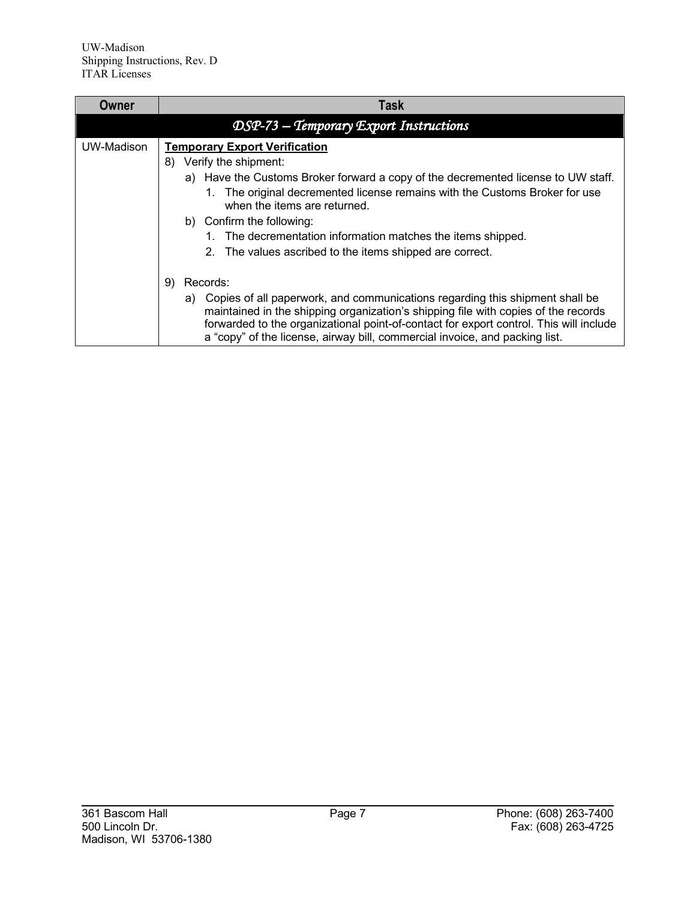| Owner      | Task                                                                                                                                                                                                                                                                                                                                                                                                                               |
|------------|------------------------------------------------------------------------------------------------------------------------------------------------------------------------------------------------------------------------------------------------------------------------------------------------------------------------------------------------------------------------------------------------------------------------------------|
|            | DSP-73 - Temporary Export Instructions                                                                                                                                                                                                                                                                                                                                                                                             |
| UW-Madison | <b>Temporary Export Verification</b><br>Verify the shipment:<br>8)<br>a) Have the Customs Broker forward a copy of the decremented license to UW staff.<br>The original decremented license remains with the Customs Broker for use<br>1.<br>when the items are returned.<br>b) Confirm the following:<br>1. The decrementation information matches the items shipped.<br>2. The values ascribed to the items shipped are correct. |
|            | Records:<br>9)<br>a) Copies of all paperwork, and communications regarding this shipment shall be<br>maintained in the shipping organization's shipping file with copies of the records<br>forwarded to the organizational point-of-contact for export control. This will include<br>a "copy" of the license, airway bill, commercial invoice, and packing list.                                                                   |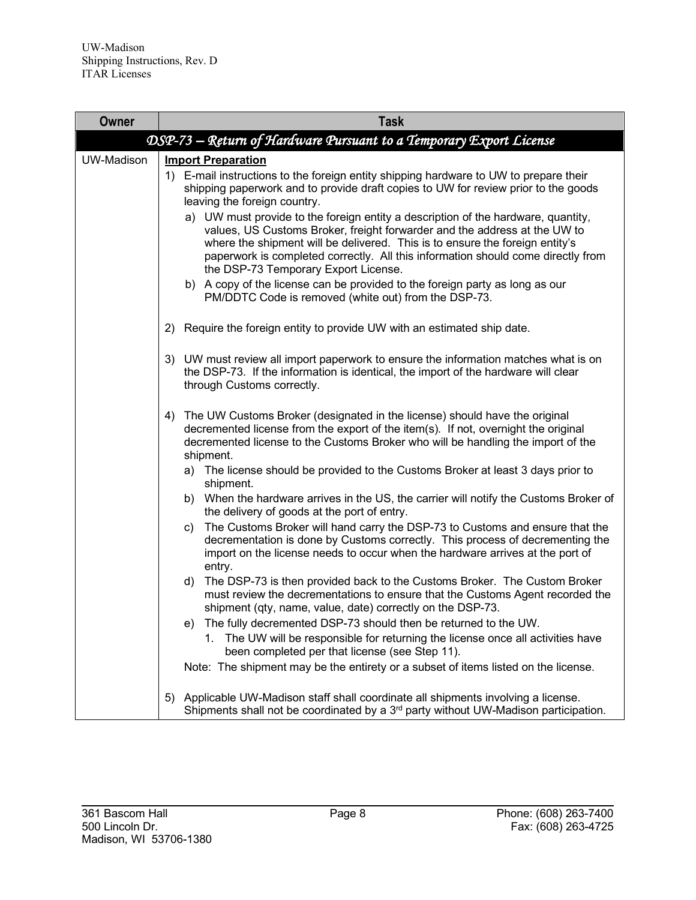| <b>Owner</b>      | <b>Task</b>                                                                                                                                                                                                                                                                                                                                                                                                                                                                                                                                                                                                                                                                                                                                                                                                                                                                                                                                                                                                                                                                                                                                                                                                                                                                                                                                                                                                                                                                                                                                                                                                                                                                                                                                                                                                                                       |
|-------------------|---------------------------------------------------------------------------------------------------------------------------------------------------------------------------------------------------------------------------------------------------------------------------------------------------------------------------------------------------------------------------------------------------------------------------------------------------------------------------------------------------------------------------------------------------------------------------------------------------------------------------------------------------------------------------------------------------------------------------------------------------------------------------------------------------------------------------------------------------------------------------------------------------------------------------------------------------------------------------------------------------------------------------------------------------------------------------------------------------------------------------------------------------------------------------------------------------------------------------------------------------------------------------------------------------------------------------------------------------------------------------------------------------------------------------------------------------------------------------------------------------------------------------------------------------------------------------------------------------------------------------------------------------------------------------------------------------------------------------------------------------------------------------------------------------------------------------------------------------|
|                   | DSP-73 - Return of Hardware Pursuant to a Temporary Export License                                                                                                                                                                                                                                                                                                                                                                                                                                                                                                                                                                                                                                                                                                                                                                                                                                                                                                                                                                                                                                                                                                                                                                                                                                                                                                                                                                                                                                                                                                                                                                                                                                                                                                                                                                                |
| <b>UW-Madison</b> | <b>Import Preparation</b><br>1) E-mail instructions to the foreign entity shipping hardware to UW to prepare their<br>shipping paperwork and to provide draft copies to UW for review prior to the goods<br>leaving the foreign country.<br>a) UW must provide to the foreign entity a description of the hardware, quantity,<br>values, US Customs Broker, freight forwarder and the address at the UW to<br>where the shipment will be delivered. This is to ensure the foreign entity's<br>paperwork is completed correctly. All this information should come directly from<br>the DSP-73 Temporary Export License.<br>b) A copy of the license can be provided to the foreign party as long as our<br>PM/DDTC Code is removed (white out) from the DSP-73.<br>Require the foreign entity to provide UW with an estimated ship date.<br>2)<br>3) UW must review all import paperwork to ensure the information matches what is on<br>the DSP-73. If the information is identical, the import of the hardware will clear<br>through Customs correctly.<br>The UW Customs Broker (designated in the license) should have the original<br>4)<br>decremented license from the export of the item(s). If not, overnight the original<br>decremented license to the Customs Broker who will be handling the import of the<br>shipment.<br>a) The license should be provided to the Customs Broker at least 3 days prior to<br>shipment.<br>When the hardware arrives in the US, the carrier will notify the Customs Broker of<br>b)<br>the delivery of goods at the port of entry.<br>The Customs Broker will hand carry the DSP-73 to Customs and ensure that the<br>C)<br>decrementation is done by Customs correctly. This process of decrementing the<br>import on the license needs to occur when the hardware arrives at the port of<br>entry. |
|                   | The DSP-73 is then provided back to the Customs Broker. The Custom Broker<br>d)<br>must review the decrementations to ensure that the Customs Agent recorded the<br>shipment (qty, name, value, date) correctly on the DSP-73.<br>The fully decremented DSP-73 should then be returned to the UW.<br>e)                                                                                                                                                                                                                                                                                                                                                                                                                                                                                                                                                                                                                                                                                                                                                                                                                                                                                                                                                                                                                                                                                                                                                                                                                                                                                                                                                                                                                                                                                                                                           |
|                   | The UW will be responsible for returning the license once all activities have<br>1.<br>been completed per that license (see Step 11).                                                                                                                                                                                                                                                                                                                                                                                                                                                                                                                                                                                                                                                                                                                                                                                                                                                                                                                                                                                                                                                                                                                                                                                                                                                                                                                                                                                                                                                                                                                                                                                                                                                                                                             |
|                   | Note: The shipment may be the entirety or a subset of items listed on the license.                                                                                                                                                                                                                                                                                                                                                                                                                                                                                                                                                                                                                                                                                                                                                                                                                                                                                                                                                                                                                                                                                                                                                                                                                                                                                                                                                                                                                                                                                                                                                                                                                                                                                                                                                                |
|                   | Applicable UW-Madison staff shall coordinate all shipments involving a license.<br>5)<br>Shipments shall not be coordinated by a 3 <sup>rd</sup> party without UW-Madison participation.                                                                                                                                                                                                                                                                                                                                                                                                                                                                                                                                                                                                                                                                                                                                                                                                                                                                                                                                                                                                                                                                                                                                                                                                                                                                                                                                                                                                                                                                                                                                                                                                                                                          |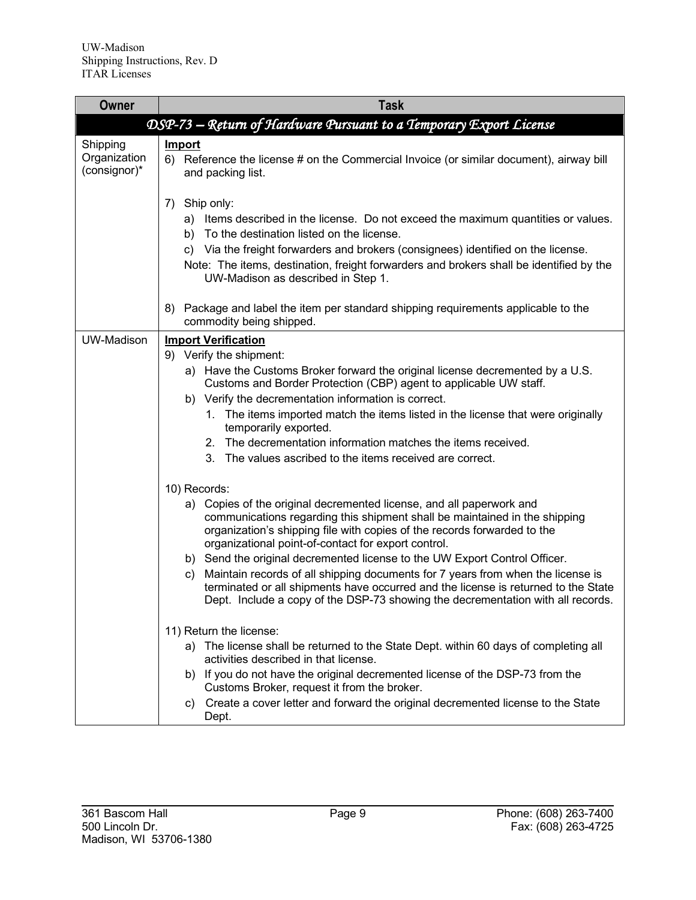| Owner                                    | <b>Task</b>                                                                                                                                                                                                                                                                                                                                                                                                                                                                                                                                                                                                                                                                                                                                                              |
|------------------------------------------|--------------------------------------------------------------------------------------------------------------------------------------------------------------------------------------------------------------------------------------------------------------------------------------------------------------------------------------------------------------------------------------------------------------------------------------------------------------------------------------------------------------------------------------------------------------------------------------------------------------------------------------------------------------------------------------------------------------------------------------------------------------------------|
|                                          | DSP-73 – Return of Hardware Pursuant to a Temporary Export License                                                                                                                                                                                                                                                                                                                                                                                                                                                                                                                                                                                                                                                                                                       |
| Shipping<br>Organization<br>(consignor)* | Import<br>6) Reference the license # on the Commercial Invoice (or similar document), airway bill<br>and packing list.                                                                                                                                                                                                                                                                                                                                                                                                                                                                                                                                                                                                                                                   |
|                                          | Ship only:<br>7)<br>a) Items described in the license. Do not exceed the maximum quantities or values.<br>b) To the destination listed on the license.<br>c) Via the freight forwarders and brokers (consignees) identified on the license.<br>Note: The items, destination, freight forwarders and brokers shall be identified by the<br>UW-Madison as described in Step 1.                                                                                                                                                                                                                                                                                                                                                                                             |
|                                          | Package and label the item per standard shipping requirements applicable to the<br>8)<br>commodity being shipped.                                                                                                                                                                                                                                                                                                                                                                                                                                                                                                                                                                                                                                                        |
| UW-Madison                               | <b>Import Verification</b><br>9) Verify the shipment:<br>a) Have the Customs Broker forward the original license decremented by a U.S.<br>Customs and Border Protection (CBP) agent to applicable UW staff.<br>b) Verify the decrementation information is correct.<br>1. The items imported match the items listed in the license that were originally<br>temporarily exported.<br>2. The decrementation information matches the items received.<br>3. The values ascribed to the items received are correct.                                                                                                                                                                                                                                                           |
|                                          | 10) Records:<br>a) Copies of the original decremented license, and all paperwork and<br>communications regarding this shipment shall be maintained in the shipping<br>organization's shipping file with copies of the records forwarded to the<br>organizational point-of-contact for export control.<br>b) Send the original decremented license to the UW Export Control Officer.<br>Maintain records of all shipping documents for 7 years from when the license is<br>C)<br>terminated or all shipments have occurred and the license is returned to the State<br>Dept. Include a copy of the DSP-73 showing the decrementation with all records.<br>11) Return the license:<br>a) The license shall be returned to the State Dept. within 60 days of completing all |
|                                          | activities described in that license.<br>b) If you do not have the original decremented license of the DSP-73 from the<br>Customs Broker, request it from the broker.<br>Create a cover letter and forward the original decremented license to the State<br>C)<br>Dept.                                                                                                                                                                                                                                                                                                                                                                                                                                                                                                  |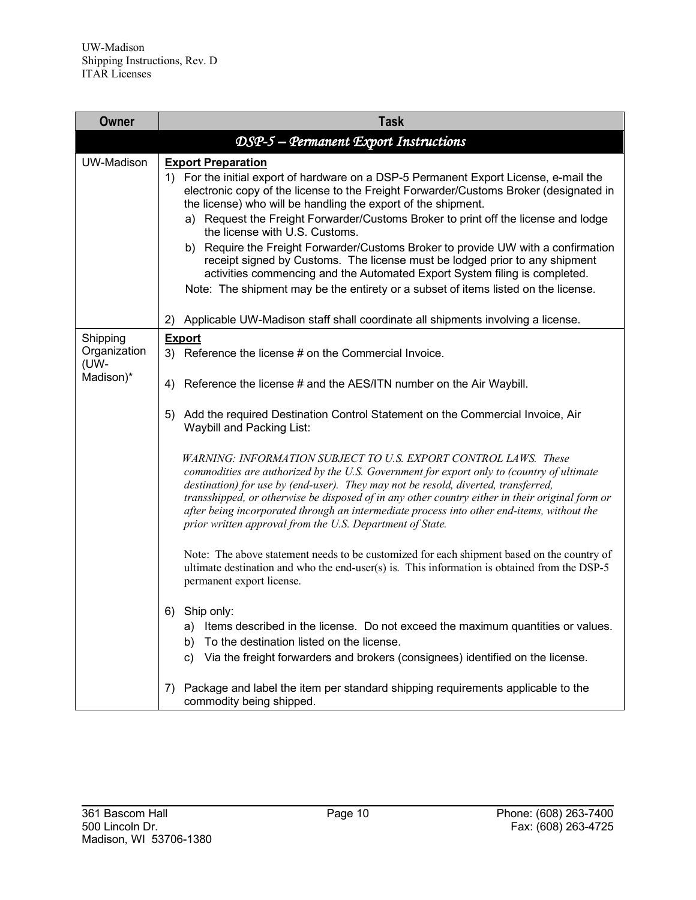| <b>Owner</b>                     | <b>Task</b>                                                                                                                                                                                                                                                                                                                                                                                                                                                                                                                                                                                                                                                                                                                                  |
|----------------------------------|----------------------------------------------------------------------------------------------------------------------------------------------------------------------------------------------------------------------------------------------------------------------------------------------------------------------------------------------------------------------------------------------------------------------------------------------------------------------------------------------------------------------------------------------------------------------------------------------------------------------------------------------------------------------------------------------------------------------------------------------|
|                                  | DSP-5 - Permanent Export Instructions                                                                                                                                                                                                                                                                                                                                                                                                                                                                                                                                                                                                                                                                                                        |
| <b>UW-Madison</b>                | <b>Export Preparation</b><br>1) For the initial export of hardware on a DSP-5 Permanent Export License, e-mail the<br>electronic copy of the license to the Freight Forwarder/Customs Broker (designated in<br>the license) who will be handling the export of the shipment.<br>a) Request the Freight Forwarder/Customs Broker to print off the license and lodge<br>the license with U.S. Customs.<br>b) Require the Freight Forwarder/Customs Broker to provide UW with a confirmation<br>receipt signed by Customs. The license must be lodged prior to any shipment<br>activities commencing and the Automated Export System filing is completed.<br>Note: The shipment may be the entirety or a subset of items listed on the license. |
|                                  | Applicable UW-Madison staff shall coordinate all shipments involving a license.<br>2)                                                                                                                                                                                                                                                                                                                                                                                                                                                                                                                                                                                                                                                        |
| Shipping<br>Organization<br>(UW- | <b>Export</b><br>3) Reference the license # on the Commercial Invoice.                                                                                                                                                                                                                                                                                                                                                                                                                                                                                                                                                                                                                                                                       |
| Madison)*                        | Reference the license # and the AES/ITN number on the Air Waybill.<br>4)                                                                                                                                                                                                                                                                                                                                                                                                                                                                                                                                                                                                                                                                     |
|                                  | Add the required Destination Control Statement on the Commercial Invoice, Air<br>5)<br>Waybill and Packing List:                                                                                                                                                                                                                                                                                                                                                                                                                                                                                                                                                                                                                             |
|                                  | WARNING: INFORMATION SUBJECT TO U.S. EXPORT CONTROL LAWS. These<br>commodities are authorized by the U.S. Government for export only to (country of ultimate<br>destination) for use by (end-user). They may not be resold, diverted, transferred,<br>transshipped, or otherwise be disposed of in any other country either in their original form or<br>after being incorporated through an intermediate process into other end-items, without the<br>prior written approval from the U.S. Department of State.                                                                                                                                                                                                                             |
|                                  | Note: The above statement needs to be customized for each shipment based on the country of<br>ultimate destination and who the end-user(s) is. This information is obtained from the DSP-5<br>permanent export license.                                                                                                                                                                                                                                                                                                                                                                                                                                                                                                                      |
|                                  | Ship only:<br>6)<br>Items described in the license. Do not exceed the maximum quantities or values.<br>a)<br>To the destination listed on the license.<br>b)<br>Via the freight forwarders and brokers (consignees) identified on the license.<br>C)                                                                                                                                                                                                                                                                                                                                                                                                                                                                                         |
|                                  | Package and label the item per standard shipping requirements applicable to the<br>7)<br>commodity being shipped.                                                                                                                                                                                                                                                                                                                                                                                                                                                                                                                                                                                                                            |